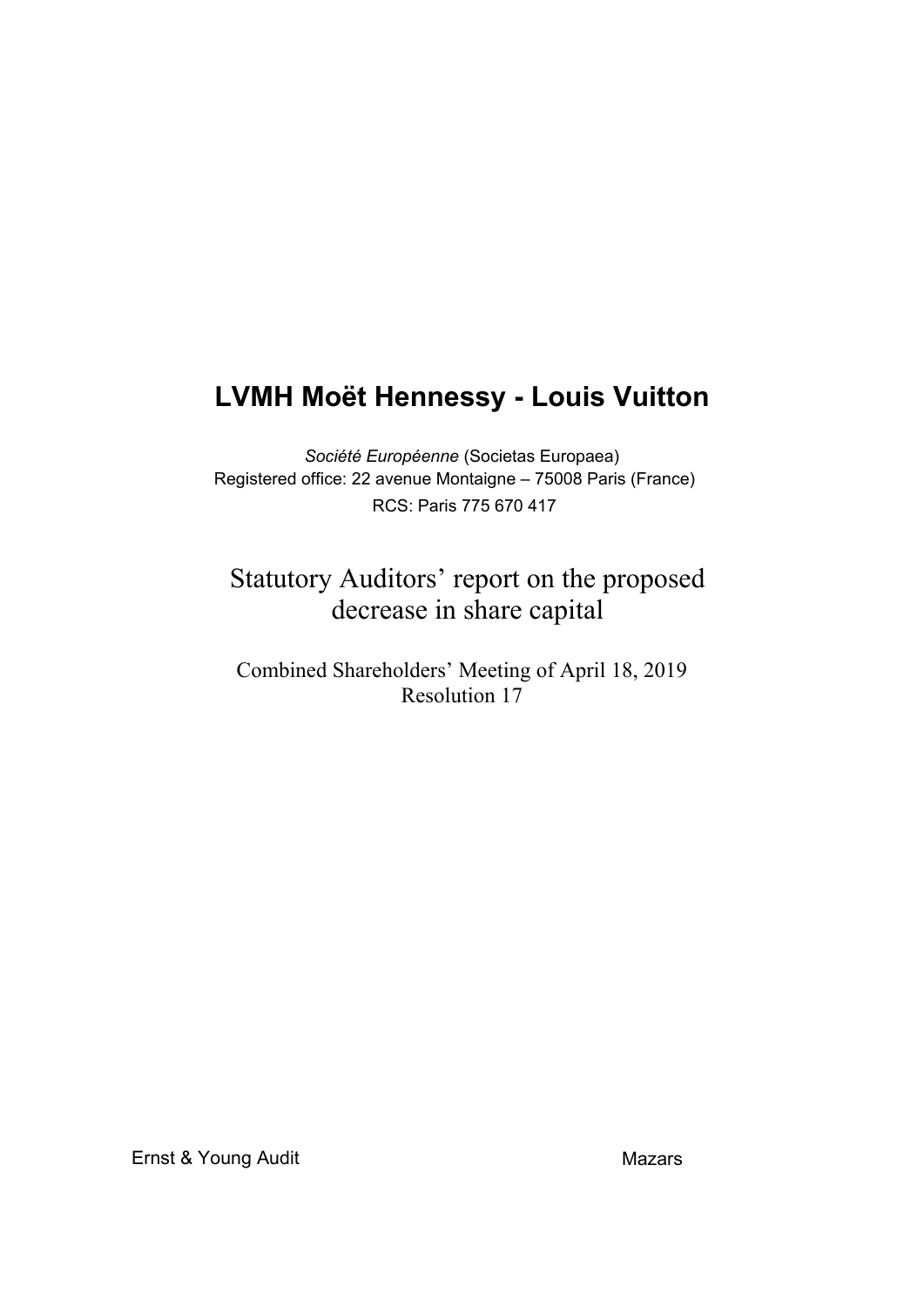# **LVMH Moët Hennessy - Louis Vuitton**

*Société Européenne* (Societas Europaea) Registered office: 22 avenue Montaigne – 75008 Paris (France) RCS: Paris 775 670 417

## Statutory Auditors' report on the proposed decrease in share capital

### Combined Shareholders' Meeting of April 18, 2019 Resolution 17